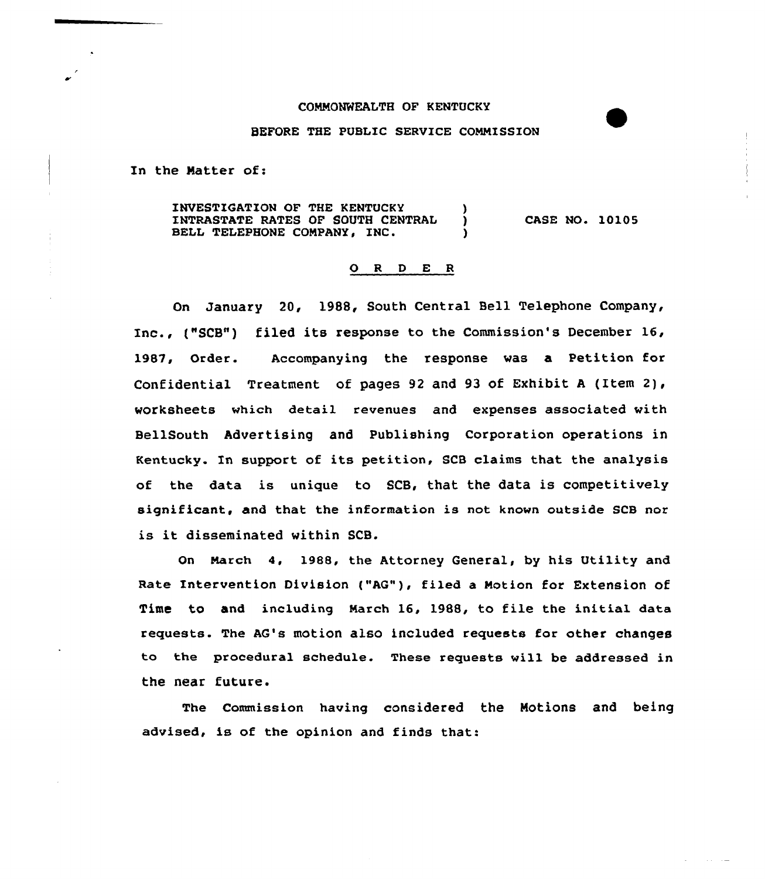## COMMONWEALTH OF KENTUCKY

## BEFORE THE PUBLIC SERVICE COMMISSION

In the Natter of:

INVESTIGATION OF THE KENTUCKY (1997)<br>INTRASTATE RATES OF SOUTH CENTRAL (1997) INTRASTATE RATES OF SOUTH CENTRAL BELL TELEPHONE COMPANY, INC. CASE NO. 10105

## 0 <sup>R</sup> <sup>D</sup> E <sup>R</sup>

On January 20, 1988, South Central Bell Telephone Company, Inc., ("SCB") filed its response to the Commission's December 16, 1987, Order. Accompanying the response was a Petition for Confidential Treatment of pages 92 and 93 of Exhibit <sup>A</sup> (Item 2), worksheets which detail revenues and expenses associated with BellSouth Advertising and Publishing Corporation operations in Kentucky. In support of its petition, SCB claims that the analysis of the data is unique to SCB, that the data is competitively significant, and that the information is not known outside SCB nor is it disseminated within SCB.

On March 4. 1988, the Attorney General, by his Utility and Rate Intervention Division ("AG"), filed a Motion for Extension of Time to and including March 16, 1988, to file the initial data requests. The AG's motion also included requests for other changes to the procedural schedule. These requests will be addressed in the near future.

The Commission having considered the Motions and being advised, is of the opinion and finds that: